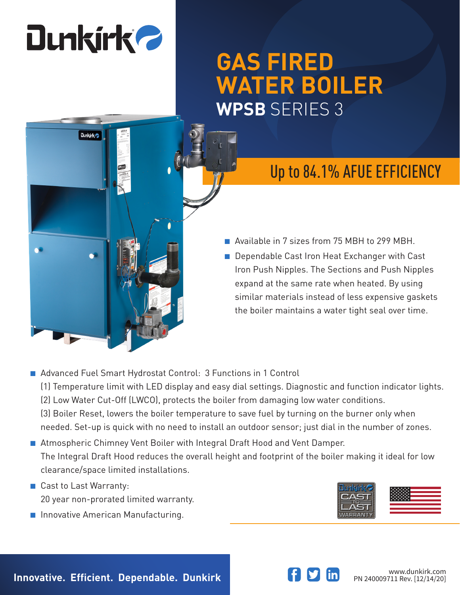# **Dunkirk 2**

# **GAS FIRED WATER BOILER WPSB** SERIES 3

# **Dunkirk**

## Up to 84.1% AFUE EFFICIENCY

- Available in 7 sizes from 75 MBH to 299 MBH.
- Dependable Cast Iron Heat Exchanger with Cast Iron Push Nipples. The Sections and Push Nipples expand at the same rate when heated. By using similar materials instead of less expensive gaskets the boiler maintains a water tight seal over time.
- Advanced Fuel Smart Hydrostat Control: 3 Functions in 1 Control (1) Temperature limit with LED display and easy dial settings. Diagnostic and function indicator lights. (2) Low Water Cut-Off (LWCO), protects the boiler from damaging low water conditions. (3) Boiler Reset, lowers the boiler temperature to save fuel by turning on the burner only when needed. Set-up is quick with no need to install an outdoor sensor; just dial in the number of zones.
- Atmospheric Chimney Vent Boiler with Integral Draft Hood and Vent Damper. The Integral Draft Hood reduces the overall height and footprint of the boiler making it ideal for low clearance/space limited installations.
- Cast to Last Warranty: 20 year non-prorated limited warranty.
- Innovative American Manufacturing.